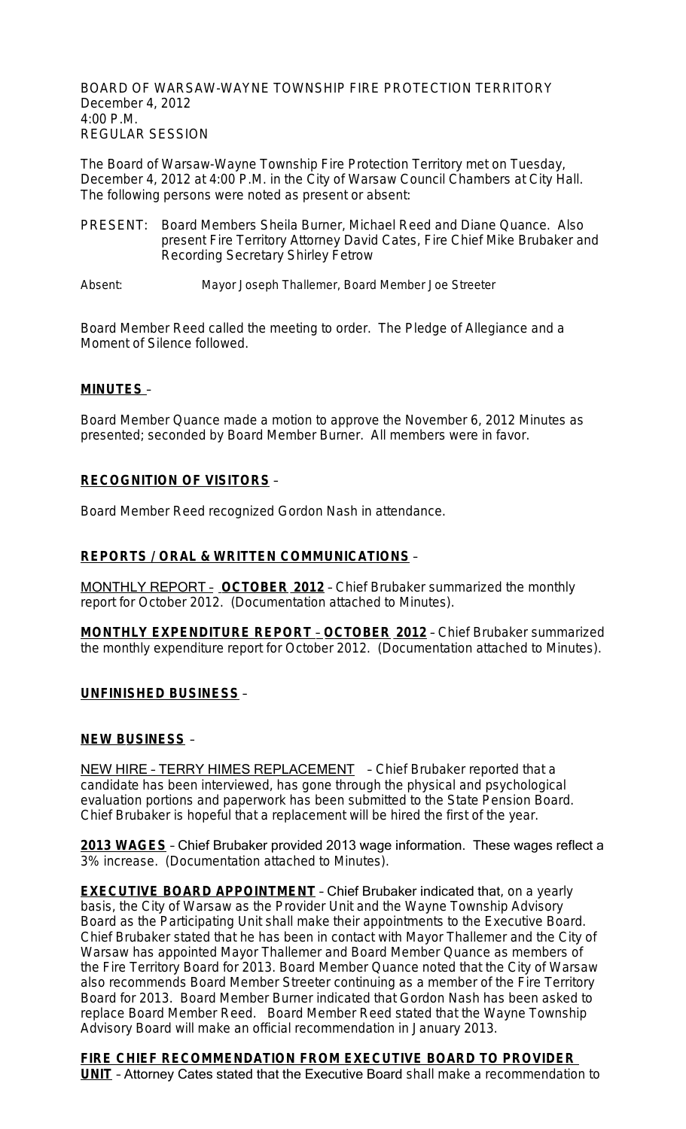BOARD OF WARSAW-WAYNE TOWNSHIP FIRE PROTECTION TERRITORY December 4, 2012 4:00 P.M. REGULAR SESSION

The Board of Warsaw-Wayne Township Fire Protection Territory met on Tuesday, December 4, 2012 at 4:00 P.M. in the City of Warsaw Council Chambers at City Hall. The following persons were noted as present or absent:

- PRESENT: Board Members Sheila Burner, Michael Reed and Diane Quance. Also present Fire Territory Attorney David Cates, Fire Chief Mike Brubaker and Recording Secretary Shirley Fetrow
- Absent: Mayor Joseph Thallemer, Board Member Joe Streeter

Board Member Reed called the meeting to order. The Pledge of Allegiance and a Moment of Silence followed.

## **MINUTES** –

Board Member Quance made a motion to approve the November 6, 2012 Minutes as presented; seconded by Board Member Burner. All members were in favor.

# **RECOGNITION OF VISITORS** –

Board Member Reed recognized Gordon Nash in attendance.

#### **REPORTS / ORAL & WRITTEN COMMUNICATIONS** –

MONTHLY REPORT – **OCTOBER 2012** – Chief Brubaker summarized the monthly report for October 2012. (Documentation attached to Minutes).

**MONTHLY EXPENDITURE REPORT** – **OCTOBER 2012** – Chief Brubaker summarized the monthly expenditure report for October 2012. (Documentation attached to Minutes).

## **UNFINISHED BUSINESS** –

#### **NEW BUSINESS** –

NEW HIRE - TERRY HIMES REPLACEMENT - Chief Brubaker reported that a candidate has been interviewed, has gone through the physical and psychological evaluation portions and paperwork has been submitted to the State Pension Board. Chief Brubaker is hopeful that a replacement will be hired the first of the year.

**2013 WAGES** – Chief Brubaker provided 2013 wage information. These wages reflect a 3% increase. (Documentation attached to Minutes).

**EXECUTIVE BOARD APPOINTMENT** - Chief Brubaker indicated that, on a yearly basis, the City of Warsaw as the Provider Unit and the Wayne Township Advisory Board as the Participating Unit shall make their appointments to the Executive Board. Chief Brubaker stated that he has been in contact with Mayor Thallemer and the City of Warsaw has appointed Mayor Thallemer and Board Member Quance as members of the Fire Territory Board for 2013. Board Member Quance noted that the City of Warsaw also recommends Board Member Streeter continuing as a member of the Fire Territory Board for 2013. Board Member Burner indicated that Gordon Nash has been asked to replace Board Member Reed. Board Member Reed stated that the Wayne Township Advisory Board will make an official recommendation in January 2013.

**FIRE CHIEF RECOMMENDATION FROM EXECUTIVE BOARD TO PROVIDER UNIT** – Attorney Cates stated that the Executive Board shall make a recommendation to